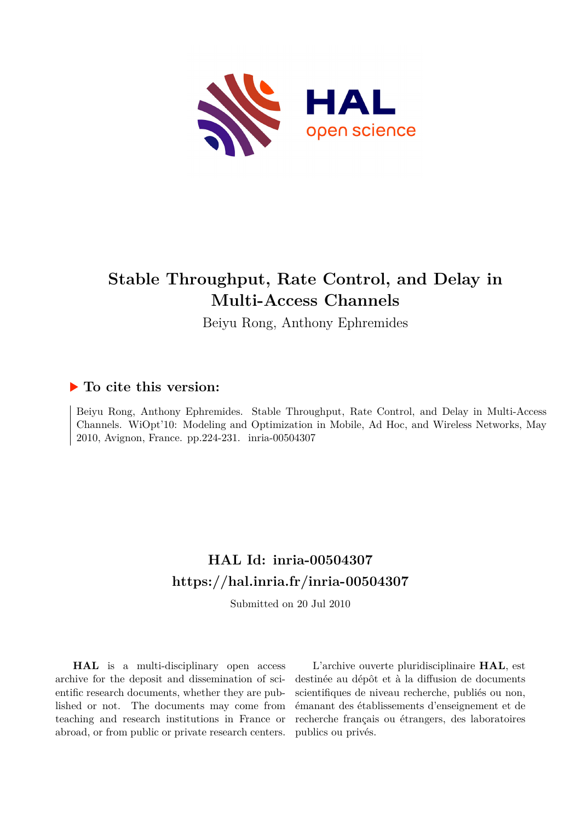

## **Stable Throughput, Rate Control, and Delay in Multi-Access Channels**

Beiyu Rong, Anthony Ephremides

### **To cite this version:**

Beiyu Rong, Anthony Ephremides. Stable Throughput, Rate Control, and Delay in Multi-Access Channels. WiOpt'10: Modeling and Optimization in Mobile, Ad Hoc, and Wireless Networks, May 2010, Avignon, France. pp.224-231. inria-00504307

## **HAL Id: inria-00504307 <https://hal.inria.fr/inria-00504307>**

Submitted on 20 Jul 2010

**HAL** is a multi-disciplinary open access archive for the deposit and dissemination of scientific research documents, whether they are published or not. The documents may come from teaching and research institutions in France or abroad, or from public or private research centers.

L'archive ouverte pluridisciplinaire **HAL**, est destinée au dépôt et à la diffusion de documents scientifiques de niveau recherche, publiés ou non, émanant des établissements d'enseignement et de recherche français ou étrangers, des laboratoires publics ou privés.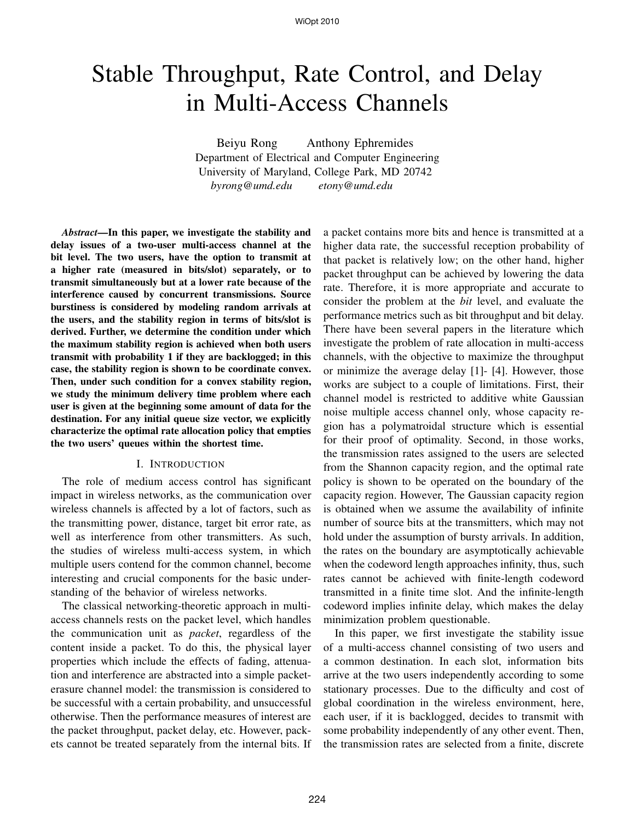# Stable Throughput, Rate Control, and Delay in Multi-Access Channels

Beiyu Rong Anthony Ephremides Department of Electrical and Computer Engineering University of Maryland, College Park, MD 20742 *byrong@umd.edu etony@umd.edu*

*Abstract***—In this paper, we investigate the stability and delay issues of a two-user multi-access channel at the bit level. The two users, have the option to transmit at a higher rate (measured in bits/slot) separately, or to transmit simultaneously but at a lower rate because of the interference caused by concurrent transmissions. Source burstiness is considered by modeling random arrivals at the users, and the stability region in terms of bits/slot is derived. Further, we determine the condition under which the maximum stability region is achieved when both users transmit with probability 1 if they are backlogged; in this case, the stability region is shown to be coordinate convex. Then, under such condition for a convex stability region, we study the minimum delivery time problem where each user is given at the beginning some amount of data for the destination. For any initial queue size vector, we explicitly characterize the optimal rate allocation policy that empties the two users' queues within the shortest time.**

#### I. INTRODUCTION

The role of medium access control has significant impact in wireless networks, as the communication over wireless channels is affected by a lot of factors, such as the transmitting power, distance, target bit error rate, as well as interference from other transmitters. As such, the studies of wireless multi-access system, in which multiple users contend for the common channel, become interesting and crucial components for the basic understanding of the behavior of wireless networks.

The classical networking-theoretic approach in multiaccess channels rests on the packet level, which handles the communication unit as *packet*, regardless of the content inside a packet. To do this, the physical layer properties which include the effects of fading, attenuation and interference are abstracted into a simple packeterasure channel model: the transmission is considered to be successful with a certain probability, and unsuccessful otherwise. Then the performance measures of interest are the packet throughput, packet delay, etc. However, packets cannot be treated separately from the internal bits. If a packet contains more bits and hence is transmitted at a higher data rate, the successful reception probability of that packet is relatively low; on the other hand, higher packet throughput can be achieved by lowering the data rate. Therefore, it is more appropriate and accurate to consider the problem at the *bit* level, and evaluate the performance metrics such as bit throughput and bit delay. There have been several papers in the literature which investigate the problem of rate allocation in multi-access channels, with the objective to maximize the throughput or minimize the average delay [1]- [4]. However, those works are subject to a couple of limitations. First, their channel model is restricted to additive white Gaussian noise multiple access channel only, whose capacity region has a polymatroidal structure which is essential for their proof of optimality. Second, in those works, the transmission rates assigned to the users are selected from the Shannon capacity region, and the optimal rate policy is shown to be operated on the boundary of the capacity region. However, The Gaussian capacity region is obtained when we assume the availability of infinite number of source bits at the transmitters, which may not hold under the assumption of bursty arrivals. In addition, the rates on the boundary are asymptotically achievable when the codeword length approaches infinity, thus, such rates cannot be achieved with finite-length codeword transmitted in a finite time slot. And the infinite-length codeword implies infinite delay, which makes the delay minimization problem questionable.

In this paper, we first investigate the stability issue of a multi-access channel consisting of two users and a common destination. In each slot, information bits arrive at the two users independently according to some stationary processes. Due to the difficulty and cost of global coordination in the wireless environment, here, each user, if it is backlogged, decides to transmit with some probability independently of any other event. Then, the transmission rates are selected from a finite, discrete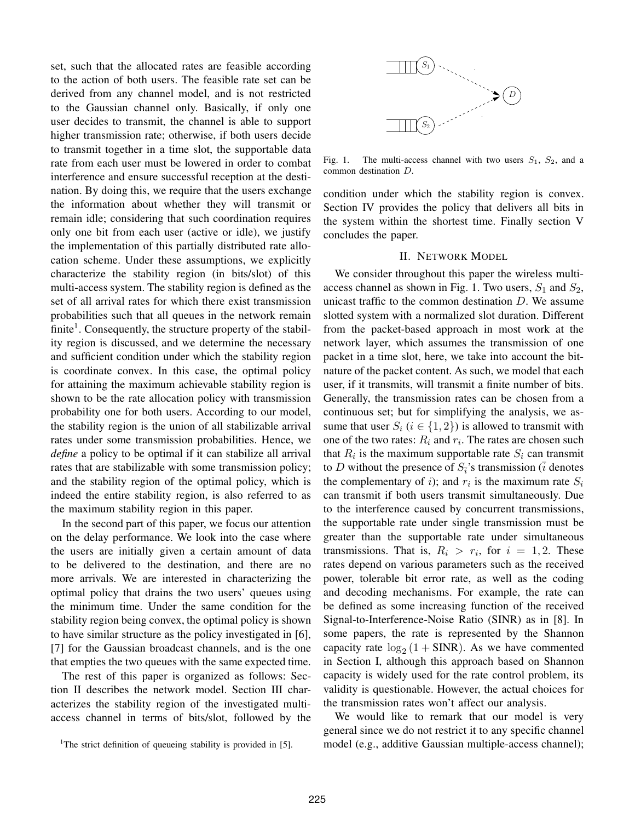set, such that the allocated rates are feasible according to the action of both users. The feasible rate set can be derived from any channel model, and is not restricted to the Gaussian channel only. Basically, if only one user decides to transmit, the channel is able to support higher transmission rate; otherwise, if both users decide to transmit together in a time slot, the supportable data rate from each user must be lowered in order to combat interference and ensure successful reception at the destination. By doing this, we require that the users exchange the information about whether they will transmit or remain idle; considering that such coordination requires only one bit from each user (active or idle), we justify the implementation of this partially distributed rate allocation scheme. Under these assumptions, we explicitly characterize the stability region (in bits/slot) of this multi-access system. The stability region is defined as the set of all arrival rates for which there exist transmission probabilities such that all queues in the network remain finite<sup>1</sup>. Consequently, the structure property of the stability region is discussed, and we determine the necessary and sufficient condition under which the stability region is coordinate convex. In this case, the optimal policy for attaining the maximum achievable stability region is shown to be the rate allocation policy with transmission probability one for both users. According to our model, the stability region is the union of all stabilizable arrival rates under some transmission probabilities. Hence, we *define* a policy to be optimal if it can stabilize all arrival rates that are stabilizable with some transmission policy; and the stability region of the optimal policy, which is indeed the entire stability region, is also referred to as the maximum stability region in this paper.

In the second part of this paper, we focus our attention on the delay performance. We look into the case where the users are initially given a certain amount of data to be delivered to the destination, and there are no more arrivals. We are interested in characterizing the optimal policy that drains the two users' queues using the minimum time. Under the same condition for the stability region being convex, the optimal policy is shown to have similar structure as the policy investigated in [6], [7] for the Gaussian broadcast channels, and is the one that empties the two queues with the same expected time.

The rest of this paper is organized as follows: Section II describes the network model. Section III characterizes the stability region of the investigated multiaccess channel in terms of bits/slot, followed by the



Fig. 1. The multi-access channel with two users  $S_1$ ,  $S_2$ , and a common destination D.

condition under which the stability region is convex. Section IV provides the policy that delivers all bits in the system within the shortest time. Finally section V concludes the paper.

#### II. NETWORK MODEL

We consider throughout this paper the wireless multiaccess channel as shown in Fig. 1. Two users,  $S_1$  and  $S_2$ , unicast traffic to the common destination  $D$ . We assume slotted system with a normalized slot duration. Different from the packet-based approach in most work at the network layer, which assumes the transmission of one packet in a time slot, here, we take into account the bitnature of the packet content. As such, we model that each user, if it transmits, will transmit a finite number of bits. Generally, the transmission rates can be chosen from a continuous set; but for simplifying the analysis, we assume that user  $S_i$  ( $i \in \{1,2\}$ ) is allowed to transmit with one of the two rates:  $R_i$  and  $r_i$ . The rates are chosen such that  $R_i$  is the maximum supportable rate  $S_i$  can transmit to D without the presence of  $S_{\bar{i}}$ 's transmission ( $\bar{i}$  denotes the complementary of *i*); and  $r_i$  is the maximum rate  $S_i$ can transmit if both users transmit simultaneously. Due to the interference caused by concurrent transmissions, the supportable rate under single transmission must be greater than the supportable rate under simultaneous transmissions. That is,  $R_i > r_i$ , for  $i = 1, 2$ . These rates depend on various parameters such as the received power, tolerable bit error rate, as well as the coding and decoding mechanisms. For example, the rate can be defined as some increasing function of the received Signal-to-Interference-Noise Ratio (SINR) as in [8]. In some papers, the rate is represented by the Shannon capacity rate  $log_2(1 + SINR)$ . As we have commented in Section I, although this approach based on Shannon capacity is widely used for the rate control problem, its validity is questionable. However, the actual choices for the transmission rates won't affect our analysis.

We would like to remark that our model is very general since we do not restrict it to any specific channel model (e.g., additive Gaussian multiple-access channel);

<sup>&</sup>lt;sup>1</sup>The strict definition of queueing stability is provided in [5].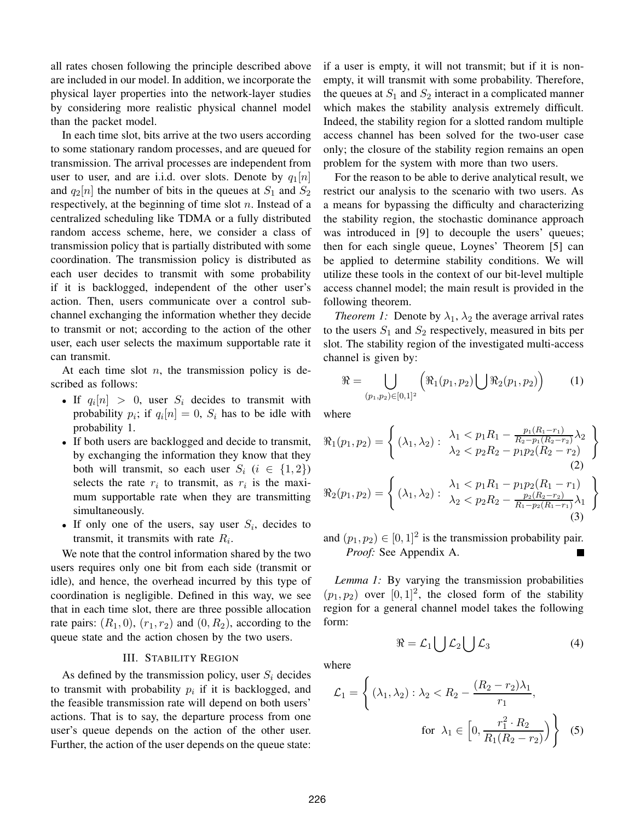all rates chosen following the principle described above are included in our model. In addition, we incorporate the physical layer properties into the network-layer studies by considering more realistic physical channel model than the packet model.

In each time slot, bits arrive at the two users according to some stationary random processes, and are queued for transmission. The arrival processes are independent from user to user, and are i.i.d. over slots. Denote by  $q_1[n]$ and  $q_2[n]$  the number of bits in the queues at  $S_1$  and  $S_2$ respectively, at the beginning of time slot  $n$ . Instead of a centralized scheduling like TDMA or a fully distributed random access scheme, here, we consider a class of transmission policy that is partially distributed with some coordination. The transmission policy is distributed as each user decides to transmit with some probability if it is backlogged, independent of the other user's action. Then, users communicate over a control subchannel exchanging the information whether they decide to transmit or not; according to the action of the other user, each user selects the maximum supportable rate it can transmit.

At each time slot  $n$ , the transmission policy is described as follows:

- If  $q_i[n] > 0$ , user  $S_i$  decides to transmit with probability  $p_i$ ; if  $q_i[n] = 0$ ,  $S_i$  has to be idle with probability 1.
- If both users are backlogged and decide to transmit, by exchanging the information they know that they both will transmit, so each user  $S_i$  ( $i \in \{1,2\}$ ) selects the rate  $r_i$  to transmit, as  $r_i$  is the maximum supportable rate when they are transmitting simultaneously.
- If only one of the users, say user  $S_i$ , decides to transmit, it transmits with rate  $R_i$ .

We note that the control information shared by the two users requires only one bit from each side (transmit or idle), and hence, the overhead incurred by this type of coordination is negligible. Defined in this way, we see that in each time slot, there are three possible allocation rate pairs:  $(R_1, 0)$ ,  $(r_1, r_2)$  and  $(0, R_2)$ , according to the queue state and the action chosen by the two users.

#### III. STABILITY REGION

As defined by the transmission policy, user  $S_i$  decides to transmit with probability  $p_i$  if it is backlogged, and the feasible transmission rate will depend on both users' actions. That is to say, the departure process from one user's queue depends on the action of the other user. Further, the action of the user depends on the queue state: if a user is empty, it will not transmit; but if it is nonempty, it will transmit with some probability. Therefore, the queues at  $S_1$  and  $S_2$  interact in a complicated manner which makes the stability analysis extremely difficult. Indeed, the stability region for a slotted random multiple access channel has been solved for the two-user case only; the closure of the stability region remains an open problem for the system with more than two users.

For the reason to be able to derive analytical result, we restrict our analysis to the scenario with two users. As a means for bypassing the difficulty and characterizing the stability region, the stochastic dominance approach was introduced in [9] to decouple the users' queues; then for each single queue, Loynes' Theorem [5] can be applied to determine stability conditions. We will utilize these tools in the context of our bit-level multiple access channel model; the main result is provided in the following theorem.

*Theorem 1:* Denote by  $\lambda_1$ ,  $\lambda_2$  the average arrival rates to the users  $S_1$  and  $S_2$  respectively, measured in bits per slot. The stability region of the investigated multi-access channel is given by:

$$
\Re = \bigcup_{(p_1, p_2) \in [0, 1]^2} \left( \Re_1(p_1, p_2) \bigcup \Re_2(p_1, p_2) \right) \tag{1}
$$

 $\mathcal{L}$ 

 $\mathcal{L}$ 

where

$$
\mathfrak{R}_1(p_1, p_2) = \begin{cases}\n(\lambda_1, \lambda_2) : \begin{array}{l}\n\lambda_1 < p_1 R_1 - \frac{p_1(R_1 - r_1)}{R_2 - p_1(R_2 - r_2)} \lambda_2 \\
\lambda_2 < p_2 R_2 - p_1 p_2(R_2 - r_2)\n\end{array}\n\end{cases}
$$
\n
$$
\mathfrak{R}_2(p_1, p_2) = \begin{cases}\n(\lambda_1, \lambda_2) : \begin{array}{l}\n\lambda_1 < p_1 R_1 - p_1 p_2(R_1 - r_1) \\
\lambda_2 < p_2 R_2 - \frac{p_2(R_2 - r_2)}{R_1 - p_2(R_1 - r_1)} \lambda_1\n\end{array}\n\end{cases}
$$
\n(3)

and  $(p_1, p_2) \in [0, 1]^2$  is the transmission probability pair. *Proof:* See Appendix A.

*Lemma 1:* By varying the transmission probabilities  $(p_1, p_2)$  over  $[0, 1]^2$ , the closed form of the stability region for a general channel model takes the following form:

 $\Re = \mathcal{L}_1 \bigcup \mathcal{L}_2 \bigcup \mathcal{L}_3$  (4)

where

$$
\mathcal{L}_1 = \left\{ (\lambda_1, \lambda_2) : \lambda_2 < R_2 - \frac{(R_2 - r_2)\lambda_1}{r_1}, \quad \text{for } \lambda_1 \in \left[ 0, \frac{r_1^2 \cdot R_2}{R_1(R_2 - r_2)} \right] \right\} \tag{5}
$$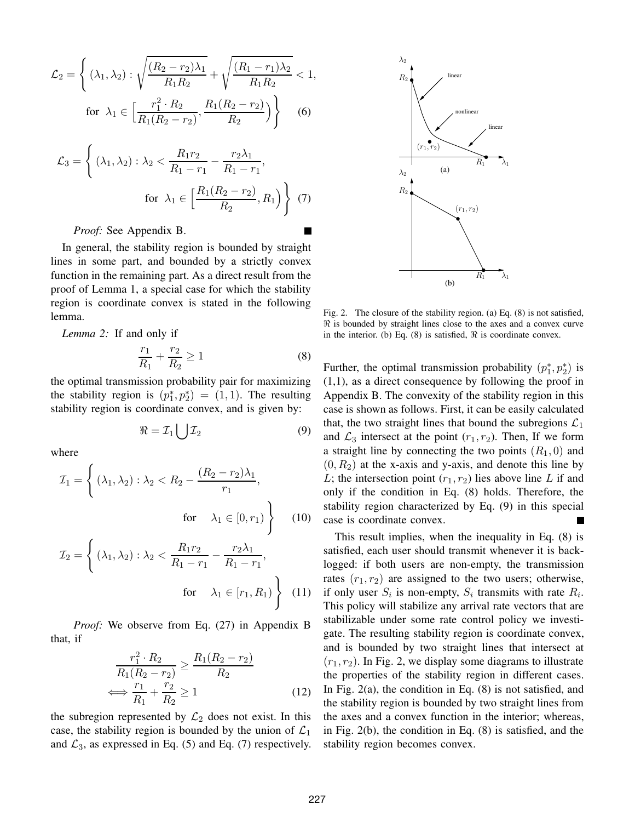$$
\mathcal{L}_2 = \left\{ (\lambda_1, \lambda_2) : \sqrt{\frac{(R_2 - r_2)\lambda_1}{R_1 R_2}} + \sqrt{\frac{(R_1 - r_1)\lambda_2}{R_1 R_2}} < 1, \right\}
$$
  
for  $\lambda_1 \in \left[ \frac{r_1^2 \cdot R_2}{R_1 (R_2 - r_2)}, \frac{R_1 (R_2 - r_2)}{R_2} \right) \right\}$  (6)

$$
\mathcal{L}_3 = \left\{ (\lambda_1, \lambda_2) : \lambda_2 < \frac{R_1 r_2}{R_1 - r_1} - \frac{r_2 \lambda_1}{R_1 - r_1}, \text{for } \lambda_1 \in \left[ \frac{R_1 (R_2 - r_2)}{R_2}, R_1 \right) \right\} (7)
$$

*Proof:* See Appendix B.

In general, the stability region is bounded by straight lines in some part, and bounded by a strictly convex function in the remaining part. As a direct result from the proof of Lemma 1, a special case for which the stability region is coordinate convex is stated in the following lemma.

*Lemma 2:* If and only if

$$
\frac{r_1}{R_1} + \frac{r_2}{R_2} \ge 1\tag{8}
$$

the optimal transmission probability pair for maximizing the stability region is  $(p_1^*)$  $\hat{p}_1^*, p_2^*$  = (1, 1). The resulting stability region is coordinate convex, and is given by:

$$
\Re = \mathcal{I}_1 \bigcup \mathcal{I}_2 \tag{9}
$$

where

$$
\mathcal{I}_1 = \left\{ (\lambda_1, \lambda_2) : \lambda_2 < R_2 - \frac{(R_2 - r_2)\lambda_1}{r_1}, \quad \text{for} \quad \lambda_1 \in [0, r_1) \right\} \tag{10}
$$

$$
\mathcal{I}_2 = \left\{ (\lambda_1, \lambda_2) : \lambda_2 < \frac{R_1 r_2}{R_1 - r_1} - \frac{r_2 \lambda_1}{R_1 - r_1}, \text{for } \lambda_1 \in [r_1, R_1) \right\}
$$
 (11)

*Proof:* We observe from Eq. (27) in Appendix B that, if

$$
\frac{r_1^2 \cdot R_2}{R_1(R_2 - r_2)} \ge \frac{R_1(R_2 - r_2)}{R_2}
$$
\n
$$
\iff \frac{r_1}{R_1} + \frac{r_2}{R_2} \ge 1
$$
\n(12)

the subregion represented by  $\mathcal{L}_2$  does not exist. In this case, the stability region is bounded by the union of  $\mathcal{L}_1$ and  $\mathcal{L}_3$ , as expressed in Eq. (5) and Eq. (7) respectively.



Fig. 2. The closure of the stability region. (a) Eq. (8) is not satisfied, ℜ is bounded by straight lines close to the axes and a convex curve in the interior. (b) Eq. (8) is satisfied,  $\Re$  is coordinate convex.

Further, the optimal transmission probability  $(p_1^*)$  $_1^*, p_2^*$ ) is (1,1), as a direct consequence by following the proof in Appendix B. The convexity of the stability region in this case is shown as follows. First, it can be easily calculated that, the two straight lines that bound the subregions  $\mathcal{L}_1$ and  $\mathcal{L}_3$  intersect at the point  $(r_1, r_2)$ . Then, If we form a straight line by connecting the two points  $(R_1, 0)$  and  $(0, R<sub>2</sub>)$  at the x-axis and y-axis, and denote this line by L; the intersection point  $(r_1, r_2)$  lies above line L if and only if the condition in Eq. (8) holds. Therefore, the stability region characterized by Eq. (9) in this special case is coordinate convex.

This result implies, when the inequality in Eq. (8) is satisfied, each user should transmit whenever it is backlogged: if both users are non-empty, the transmission rates  $(r_1, r_2)$  are assigned to the two users; otherwise, if only user  $S_i$  is non-empty,  $S_i$  transmits with rate  $R_i$ . This policy will stabilize any arrival rate vectors that are stabilizable under some rate control policy we investigate. The resulting stability region is coordinate convex, and is bounded by two straight lines that intersect at  $(r_1, r_2)$ . In Fig. 2, we display some diagrams to illustrate the properties of the stability region in different cases. In Fig.  $2(a)$ , the condition in Eq.  $(8)$  is not satisfied, and the stability region is bounded by two straight lines from the axes and a convex function in the interior; whereas, in Fig. 2(b), the condition in Eq. (8) is satisfied, and the stability region becomes convex.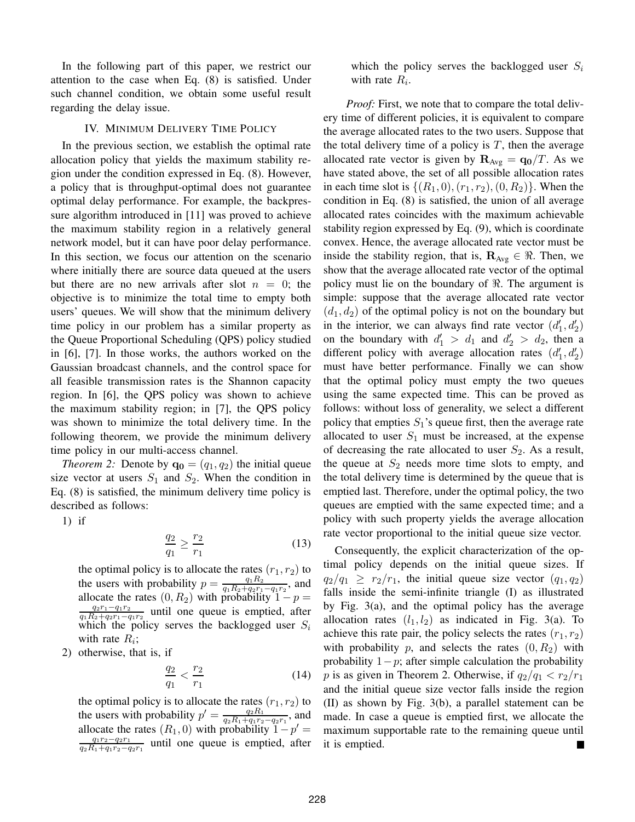In the following part of this paper, we restrict our attention to the case when Eq. (8) is satisfied. Under such channel condition, we obtain some useful result regarding the delay issue.

#### IV. MINIMUM DELIVERY TIME POLICY

In the previous section, we establish the optimal rate allocation policy that yields the maximum stability region under the condition expressed in Eq. (8). However, a policy that is throughput-optimal does not guarantee optimal delay performance. For example, the backpressure algorithm introduced in [11] was proved to achieve the maximum stability region in a relatively general network model, but it can have poor delay performance. In this section, we focus our attention on the scenario where initially there are source data queued at the users but there are no new arrivals after slot  $n = 0$ ; the objective is to minimize the total time to empty both users' queues. We will show that the minimum delivery time policy in our problem has a similar property as the Queue Proportional Scheduling (QPS) policy studied in [6], [7]. In those works, the authors worked on the Gaussian broadcast channels, and the control space for all feasible transmission rates is the Shannon capacity region. In [6], the QPS policy was shown to achieve the maximum stability region; in [7], the QPS policy was shown to minimize the total delivery time. In the following theorem, we provide the minimum delivery time policy in our multi-access channel.

*Theorem 2:* Denote by  $\mathbf{q_0} = (q_1, q_2)$  the initial queue size vector at users  $S_1$  and  $S_2$ . When the condition in Eq. (8) is satisfied, the minimum delivery time policy is described as follows:

1) if

$$
\frac{q_2}{q_1} \ge \frac{r_2}{r_1} \tag{13}
$$

the optimal policy is to allocate the rates  $(r_1, r_2)$  to the users with probability  $p = \frac{q_1 R_2}{q_1 R_2 + q_2 r_1 - q_1 r_2}$ , and allocate the rates  $(0, R_2)$  with probability  $1 - p =$  $q_2r_1-q_1r_2$  $\frac{q_2r_1-q_1r_2}{q_1R_2+q_2r_1-q_1r_2}$  until one queue is emptied, after which the policy serves the backlogged user  $S_i$ with rate  $R_i$ ;

2) otherwise, that is, if

$$
\frac{q_2}{q_1} < \frac{r_2}{r_1} \tag{14}
$$

the optimal policy is to allocate the rates  $(r_1, r_2)$  to the users with probability  $p' = \frac{q_2 R_1}{q_2 R_1 + q_1 r_2 - q_2 r_1}$ , and allocate the rates  $(R_1, 0)$  with probability  $1-p' =$  $q_1r_2-q_2r_1$  $\frac{q_1r_2-q_2r_1}{q_2R_1+q_1r_2-q_2r_1}$  until one queue is emptied, after which the policy serves the backlogged user  $S_i$ with rate  $R_i$ .

*Proof:* First, we note that to compare the total delivery time of different policies, it is equivalent to compare the average allocated rates to the two users. Suppose that the total delivery time of a policy is  $T$ , then the average allocated rate vector is given by  $\mathbf{R}_{Avg} = \mathbf{q_0}/T$ . As we have stated above, the set of all possible allocation rates in each time slot is  $\{(R_1, 0), (r_1, r_2), (0, R_2)\}\$ . When the condition in Eq. (8) is satisfied, the union of all average allocated rates coincides with the maximum achievable stability region expressed by Eq. (9), which is coordinate convex. Hence, the average allocated rate vector must be inside the stability region, that is,  $\mathbf{R}_{Avg} \in \mathcal{R}$ . Then, we show that the average allocated rate vector of the optimal policy must lie on the boundary of  $\Re$ . The argument is simple: suppose that the average allocated rate vector  $(d_1, d_2)$  of the optimal policy is not on the boundary but in the interior, we can always find rate vector  $(d_1)$  $\big( \begin{matrix} 1', d'_2 \end{matrix} \big)$ on the boundary with  $d'_1 > d_1$  and  $d'_2 > d_2$ , then a different policy with average allocation rates  $(d_1)$  $'_{1}, d'_{2})$ must have better performance. Finally we can show that the optimal policy must empty the two queues using the same expected time. This can be proved as follows: without loss of generality, we select a different policy that empties  $S_1$ 's queue first, then the average rate allocated to user  $S_1$  must be increased, at the expense of decreasing the rate allocated to user  $S_2$ . As a result, the queue at  $S_2$  needs more time slots to empty, and the total delivery time is determined by the queue that is emptied last. Therefore, under the optimal policy, the two queues are emptied with the same expected time; and a policy with such property yields the average allocation rate vector proportional to the initial queue size vector.

Consequently, the explicit characterization of the optimal policy depends on the initial queue sizes. If  $q_2/q_1 \ge r_2/r_1$ , the initial queue size vector  $(q_1, q_2)$ falls inside the semi-infinite triangle (I) as illustrated by Fig. 3(a), and the optimal policy has the average allocation rates  $(l_1, l_2)$  as indicated in Fig. 3(a). To achieve this rate pair, the policy selects the rates  $(r_1, r_2)$ with probability p, and selects the rates  $(0, R_2)$  with probability  $1-p$ ; after simple calculation the probability p is as given in Theorem 2. Otherwise, if  $q_2/q_1 < r_2/r_1$ and the initial queue size vector falls inside the region (II) as shown by Fig. 3(b), a parallel statement can be made. In case a queue is emptied first, we allocate the maximum supportable rate to the remaining queue until it is emptied.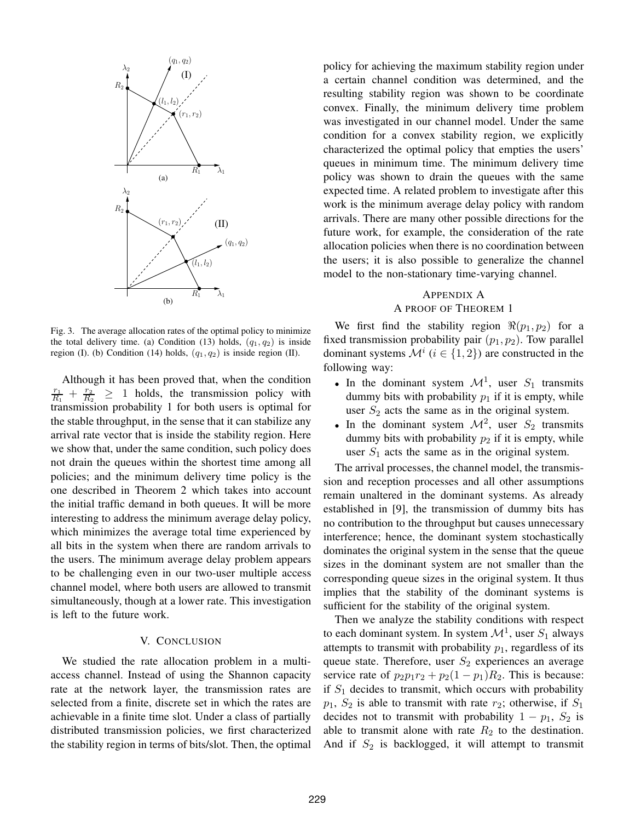

Fig. 3. The average allocation rates of the optimal policy to minimize the total delivery time. (a) Condition (13) holds,  $(q_1, q_2)$  is inside region (I). (b) Condition (14) holds,  $(q_1, q_2)$  is inside region (II).

Although it has been proved that, when the condition  $r_1$  $\frac{r_1}{R_1} + \frac{r_2}{R_2}$  $\frac{r_2}{R_2} \geq 1$  holds, the transmission policy with transmission probability 1 for both users is optimal for the stable throughput, in the sense that it can stabilize any arrival rate vector that is inside the stability region. Here we show that, under the same condition, such policy does not drain the queues within the shortest time among all policies; and the minimum delivery time policy is the one described in Theorem 2 which takes into account the initial traffic demand in both queues. It will be more interesting to address the minimum average delay policy, which minimizes the average total time experienced by all bits in the system when there are random arrivals to the users. The minimum average delay problem appears to be challenging even in our two-user multiple access channel model, where both users are allowed to transmit simultaneously, though at a lower rate. This investigation is left to the future work.

#### V. CONCLUSION

We studied the rate allocation problem in a multiaccess channel. Instead of using the Shannon capacity rate at the network layer, the transmission rates are selected from a finite, discrete set in which the rates are achievable in a finite time slot. Under a class of partially distributed transmission policies, we first characterized the stability region in terms of bits/slot. Then, the optimal policy for achieving the maximum stability region under a certain channel condition was determined, and the resulting stability region was shown to be coordinate convex. Finally, the minimum delivery time problem was investigated in our channel model. Under the same condition for a convex stability region, we explicitly characterized the optimal policy that empties the users' queues in minimum time. The minimum delivery time policy was shown to drain the queues with the same expected time. A related problem to investigate after this work is the minimum average delay policy with random arrivals. There are many other possible directions for the future work, for example, the consideration of the rate allocation policies when there is no coordination between the users; it is also possible to generalize the channel model to the non-stationary time-varying channel.

#### APPENDIX A A PROOF OF THEOREM 1

We first find the stability region  $\Re(p_1, p_2)$  for a fixed transmission probability pair  $(p_1, p_2)$ . Tow parallel dominant systems  $\mathcal{M}^i$  ( $i \in \{1, 2\}$ ) are constructed in the following way:

- In the dominant system  $\mathcal{M}^1$ , user  $S_1$  transmits dummy bits with probability  $p_1$  if it is empty, while user  $S_2$  acts the same as in the original system.
- In the dominant system  $\mathcal{M}^2$ , user  $S_2$  transmits dummy bits with probability  $p_2$  if it is empty, while user  $S_1$  acts the same as in the original system.

The arrival processes, the channel model, the transmission and reception processes and all other assumptions remain unaltered in the dominant systems. As already established in [9], the transmission of dummy bits has no contribution to the throughput but causes unnecessary interference; hence, the dominant system stochastically dominates the original system in the sense that the queue sizes in the dominant system are not smaller than the corresponding queue sizes in the original system. It thus implies that the stability of the dominant systems is sufficient for the stability of the original system.

Then we analyze the stability conditions with respect to each dominant system. In system  $\mathcal{M}^1$ , user  $S_1$  always attempts to transmit with probability  $p_1$ , regardless of its queue state. Therefore, user  $S_2$  experiences an average service rate of  $p_2p_1r_2 + p_2(1 - p_1)R_2$ . This is because: if  $S_1$  decides to transmit, which occurs with probability  $p_1$ ,  $S_2$  is able to transmit with rate  $r_2$ ; otherwise, if  $S_1$ decides not to transmit with probability  $1 - p_1$ ,  $S_2$  is able to transmit alone with rate  $R_2$  to the destination. And if  $S_2$  is backlogged, it will attempt to transmit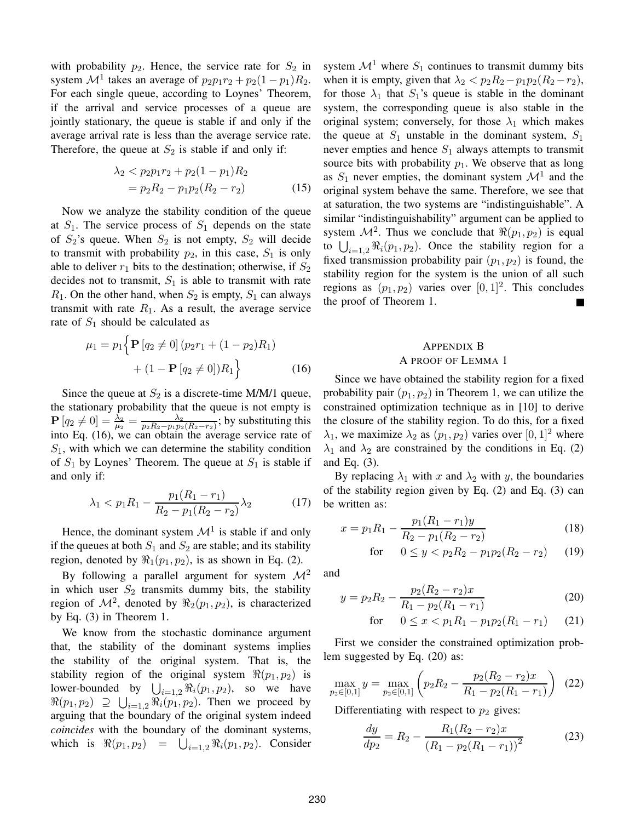with probability  $p_2$ . Hence, the service rate for  $S_2$  in system  $\mathcal{M}^1$  takes an average of  $p_2p_1r_2 + p_2(1-p_1)R_2$ . For each single queue, according to Loynes' Theorem, if the arrival and service processes of a queue are jointly stationary, the queue is stable if and only if the average arrival rate is less than the average service rate. Therefore, the queue at  $S_2$  is stable if and only if:

$$
\lambda_2 < p_2 p_1 r_2 + p_2 (1 - p_1) R_2
$$
\n
$$
= p_2 R_2 - p_1 p_2 (R_2 - r_2) \tag{15}
$$

Now we analyze the stability condition of the queue at  $S_1$ . The service process of  $S_1$  depends on the state of  $S_2$ 's queue. When  $S_2$  is not empty,  $S_2$  will decide to transmit with probability  $p_2$ , in this case,  $S_1$  is only able to deliver  $r_1$  bits to the destination; otherwise, if  $S_2$ decides not to transmit,  $S_1$  is able to transmit with rate  $R_1$ . On the other hand, when  $S_2$  is empty,  $S_1$  can always transmit with rate  $R_1$ . As a result, the average service rate of  $S_1$  should be calculated as

$$
\mu_1 = p_1 \left\{ \mathbf{P} \left[ q_2 \neq 0 \right] (p_2 r_1 + (1 - p_2) R_1) + (1 - \mathbf{P} \left[ q_2 \neq 0 \right]) R_1 \right\}
$$
(16)

Since the queue at  $S_2$  is a discrete-time M/M/1 queue, the stationary probability that the queue is not empty is  $\mathbf{P}\left[q_2\neq 0\right]=\frac{\lambda_2}{\mu_2}=\frac{\lambda_2}{p_2R_2-p_1p_2(R_2-r_2)}$ ; by substituting this into Eq. (16), we can obtain the average service rate of  $S_1$ , with which we can determine the stability condition of  $S_1$  by Loynes' Theorem. The queue at  $S_1$  is stable if and only if:

$$
\lambda_1 < p_1 R_1 - \frac{p_1 (R_1 - r_1)}{R_2 - p_1 (R_2 - r_2)} \lambda_2 \tag{17}
$$

Hence, the dominant system  $\mathcal{M}^1$  is stable if and only if the queues at both  $S_1$  and  $S_2$  are stable; and its stability region, denoted by  $\Re_1(p_1, p_2)$ , is as shown in Eq. (2).

By following a parallel argument for system  $\mathcal{M}^2$ in which user  $S_2$  transmits dummy bits, the stability region of  $\mathcal{M}^2$ , denoted by  $\Re_2(p_1, p_2)$ , is characterized by Eq. (3) in Theorem 1.

We know from the stochastic dominance argument that, the stability of the dominant systems implies the stability of the original system. That is, the stability region of the original system  $\Re(p_1, p_2)$  is lower-bounded by  $\bigcup_{i=1,2} \Re_i(p_1, p_2)$ , so we have  $\Re(p_1, p_2) \supseteq \bigcup_{i=1,2} \Re_i(p_1, p_2)$ . Then we proceed by arguing that the boundary of the original system indeed *coincides* with the boundary of the dominant systems, which is  $\Re(p_1, p_2) = \bigcup_{i=1,2} \Re_i(p_1, p_2)$ . Consider system  $\mathcal{M}^1$  where  $S_1$  continues to transmit dummy bits when it is empty, given that  $\lambda_2 < p_2 R_2 - p_1 p_2 (R_2 - r_2)$ , for those  $\lambda_1$  that  $S_1$ 's queue is stable in the dominant system, the corresponding queue is also stable in the original system; conversely, for those  $\lambda_1$  which makes the queue at  $S_1$  unstable in the dominant system,  $S_1$ never empties and hence  $S_1$  always attempts to transmit source bits with probability  $p_1$ . We observe that as long as  $S_1$  never empties, the dominant system  $\mathcal{M}^1$  and the original system behave the same. Therefore, we see that at saturation, the two systems are "indistinguishable". A similar "indistinguishability" argument can be applied to system  $\mathcal{M}^2$ . Thus we conclude that  $\Re(p_1, p_2)$  is equal to  $\bigcup_{i=1,2} \Re_i(p_1, p_2)$ . Once the stability region for a fixed transmission probability pair  $(p_1, p_2)$  is found, the stability region for the system is the union of all such regions as  $(p_1, p_2)$  varies over  $[0, 1]^2$ . This concludes the proof of Theorem 1. H.

#### APPENDIX B

#### A PROOF OF LEMMA 1

Since we have obtained the stability region for a fixed probability pair  $(p_1, p_2)$  in Theorem 1, we can utilize the constrained optimization technique as in [10] to derive the closure of the stability region. To do this, for a fixed  $\lambda_1$ , we maximize  $\lambda_2$  as  $(p_1, p_2)$  varies over  $[0, 1]^2$  where  $\lambda_1$  and  $\lambda_2$  are constrained by the conditions in Eq. (2) and Eq. (3).

By replacing  $\lambda_1$  with x and  $\lambda_2$  with y, the boundaries of the stability region given by Eq. (2) and Eq. (3) can be written as:

$$
x = p_1 R_1 - \frac{p_1 (R_1 - r_1) y}{R_2 - p_1 (R_2 - r_2)}
$$
\n(18)

for 
$$
0 \le y < p_2 R_2 - p_1 p_2 (R_2 - r_2)
$$
 (19)

and

$$
y = p_2 R_2 - \frac{p_2 (R_2 - r_2)x}{R_1 - p_2 (R_1 - r_1)}
$$
(20)

for 
$$
0 \le x < p_1 R_1 - p_1 p_2 (R_1 - r_1)
$$
 (21)

First we consider the constrained optimization problem suggested by Eq. (20) as:

$$
\max_{p_2 \in [0,1]} y = \max_{p_2 \in [0,1]} \left( p_2 R_2 - \frac{p_2 (R_2 - r_2) x}{R_1 - p_2 (R_1 - r_1)} \right) (22)
$$

Differentiating with respect to  $p_2$  gives:

$$
\frac{dy}{dp_2} = R_2 - \frac{R_1(R_2 - r_2)x}{(R_1 - p_2(R_1 - r_1))^2}
$$
(23)